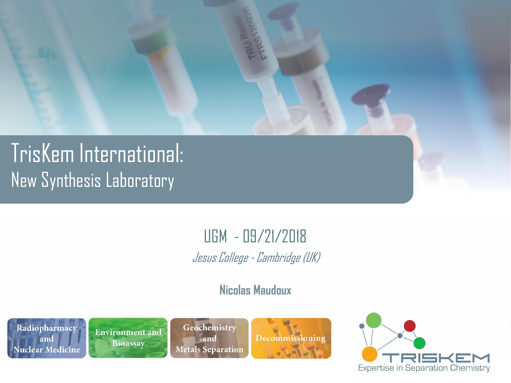

## TrisKem International: New Synthesis Laboratory

#### UGM - 09/21/2018 Jesus College - Cambridge (UK)

#### **Nicolas Maudoux**





Geochemistry and **Metals Separation** 



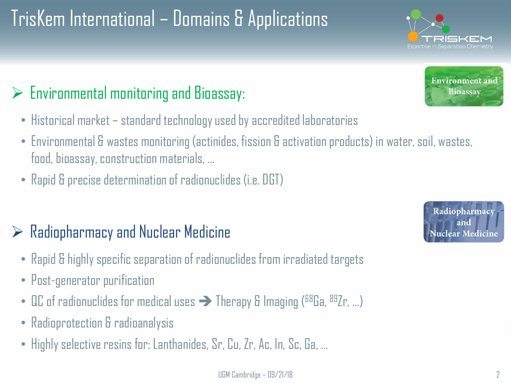# TrisKem International – Domains & Applications

### $\triangleright$  Environmental monitoring and Bioassay:

- Historical market standard technology used by accredited laboratories
- Environmental & wastes monitoring (actinides, fission & activation products) in water, soil, wastes, food, bioassay, construction materials, …
- Rapid & precise determination of radionuclides (i.e. DGT)

### $\triangleright$  Radiopharmacy and Nuclear Medicine

- Rapid & highly specific separation of radionuclides from irradiated targets
- Post-generator purification
- QC of radionuclides for medical uses  $\rightarrow$  Therapy & Imaging ( $^{68}$ Ga,  $^{89}$ Zr, ...)
- Radioprotection & radioanalysis
- Highly selective resins for: Lanthanides, Sr, Cu, Zr, Ac, In, Sc, Ga, …



Radiopharmacy and ear Medicine



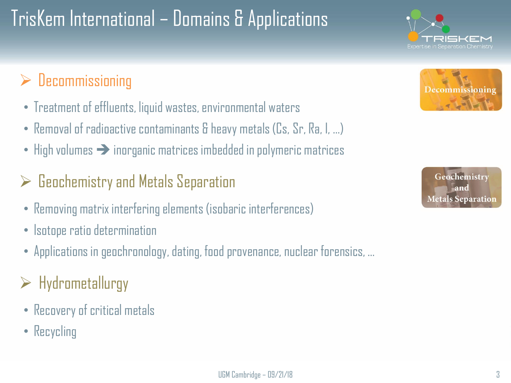# TrisKem International – Domains & Applications

### $\triangleright$  Decommissioning

- Treatment of effluents, liquid wastes, environmental waters
- Removal of radioactive contaminants & heavy metals (Cs, Sr, Ra, I, …)
- High volumes  $\rightarrow$  inorganic matrices imbedded in polymeric matrices

#### $\triangleright$  Geochemistry and Metals Separation

- Removing matrix interfering elements (isobaric interferences)
- Isotope ratio determination
- Applications in geochronology, dating, food provenance, nuclear forensics, …
- $\triangleright$  Hydrometallurgy
- Recovery of critical metals
- Recycling



SKEN

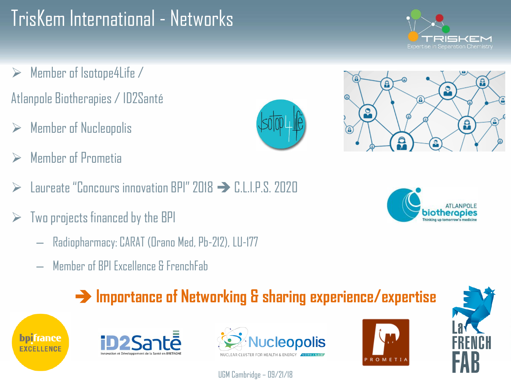## TrisKem International - Networks

- $\triangleright$  Member of Isotope4Life / Atlanpole Biotherapies / ID2Santé
- **Member of Nucleopolis**
- ➢ Member of Prometia
- ➢ Laureate "Concours innovation BPI" 2018 ➔ C.L.I.P.S. 2020
- $\triangleright$  Two projects financed by the BPI
	- Radiopharmacy: CARAT (Orano Med, Pb-212), LU-177
	- Member of BPI Excellence & FrenchFab

### ➔ **Importance of Networking & sharing experience/expertise**







UGM Cambridge – 09/21/18











⋒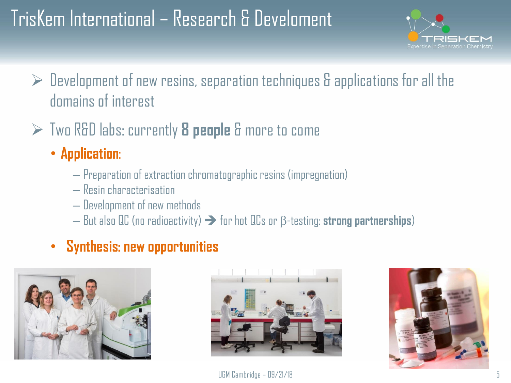## TrisKem International – Research & Develoment



- $\triangleright$  Development of new resins, separation techniques & applications for all the domains of interest
- ➢ Two R&D labs: currently **8 people** & more to come
	- **Application**:
		- Preparation of extraction chromatographic resins (impregnation)
		- Resin characterisation
		- Development of new methods
		- $-$  But also QC (no radioactivity)  $\rightarrow$  for hot QCs or  $\beta$ -testing: **strong partnerships**)

#### • **Synthesis: new opportunities**





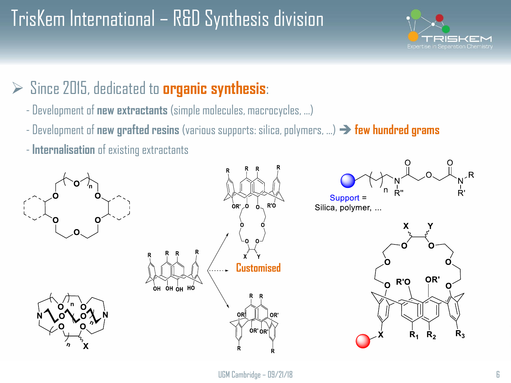## TrisKem International – R&D Synthesis division



#### ➢ Since 2015, dedicated to **organic synthesis**:

- Development of **new extractants** (simple molecules, macrocycles, …)
- Development of **new grafted resins** (various supports: silica, polymers, …) ➔ **few hundred grams**
- **Internalisation** of existing extractants

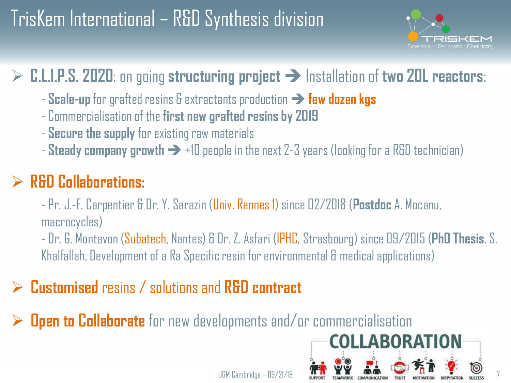## TrisKem International – R&D Synthesis division



### ➢ **C.L.I.P.S. 2020**: on going **structuring project** ➔ Installation of **two 20L reactors**:

- **Scale-up** for grafted resins & extractants production ➔ **few dozen kgs**
- Commercialisation of the **first new grafted resins by 2019**
- **Secure the supply** for existing raw materials
- **Steady company growth** ➔ +10 people in the next 2-3 years (looking for a R&D technician)

### ➢ **R&D Collaborations:**

- Pr. J.-F. Carpentier & Dr.Y. Sarazin (Univ. Rennes 1) since 02/2018 (**Postdoc** A. Mocanu, macrocycles)

- Dr. G. Montavon (Subatech, Nantes) & Dr. Z. Asfari (IPHC, Strasbourg) since 09/2015 (**PhD Thesis**, S. Khalfallah, Development of a Ra Specific resin for environmental & medical applications)

### ➢ **Customised** resins / solutions and **R&D contract**

**Open to Collaborate** for new developments and/or commercialisation

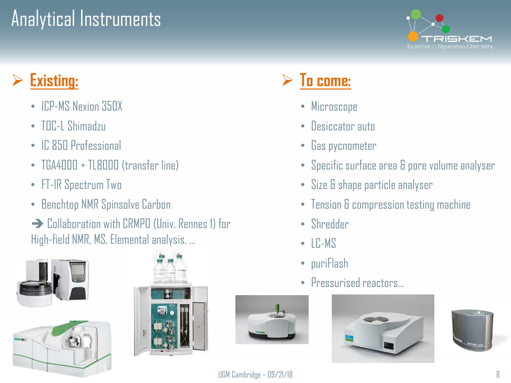## Analytical Instruments



### Existing:

- ICP-MS Nexion 350X
- TOC-L Shimadzu
- IC 850 Professional
- TGA4000 + TL8000 (transfer line)
- FT-IR Spectrum Two
- Benchtop NMR Spinsolve Carbon
- **→ Collaboration with CRMPO (Univ. Rennes 1) for** High-field NMR, MS, Elemental analysis, …







### ➢ **To come:**

- Microscope
- Desiccator auto
- Gas pycnometer
- Specific surface area & pore volume analyser
- Size & shape particle analyser
- Tension & compression testing machine
- Shredder
- LC-MS
- puriFlash
- Pressurised reactors…